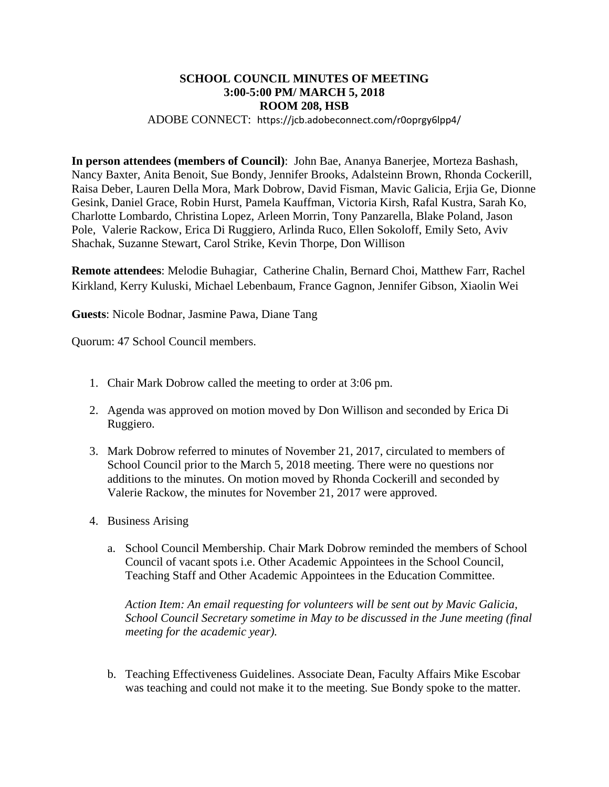## **SCHOOL COUNCIL MINUTES OF MEETING 3:00-5:00 PM/ MARCH 5, 2018 ROOM 208, HSB**

ADOBE CONNECT: https://jcb.adobeconnect.com/r0oprgy6lpp4/

**In person attendees (members of Council)**: John Bae, Ananya Banerjee, Morteza Bashash, Nancy Baxter, Anita Benoit, Sue Bondy, Jennifer Brooks, Adalsteinn Brown, Rhonda Cockerill, Raisa Deber, Lauren Della Mora, Mark Dobrow, David Fisman, Mavic Galicia, Erjia Ge, Dionne Gesink, Daniel Grace, Robin Hurst, Pamela Kauffman, Victoria Kirsh, Rafal Kustra, Sarah Ko, Charlotte Lombardo, Christina Lopez, Arleen Morrin, Tony Panzarella, Blake Poland, Jason Pole, Valerie Rackow, Erica Di Ruggiero, Arlinda Ruco, Ellen Sokoloff, Emily Seto, Aviv Shachak, Suzanne Stewart, Carol Strike, Kevin Thorpe, Don Willison

**Remote attendees**: Melodie Buhagiar, Catherine Chalin, Bernard Choi, Matthew Farr, Rachel Kirkland, Kerry Kuluski, Michael Lebenbaum, France Gagnon, Jennifer Gibson, Xiaolin Wei

**Guests**: Nicole Bodnar, Jasmine Pawa, Diane Tang

Quorum: 47 School Council members.

- 1. Chair Mark Dobrow called the meeting to order at 3:06 pm.
- 2. Agenda was approved on motion moved by Don Willison and seconded by Erica Di Ruggiero.
- 3. Mark Dobrow referred to minutes of November 21, 2017, circulated to members of School Council prior to the March 5, 2018 meeting. There were no questions nor additions to the minutes. On motion moved by Rhonda Cockerill and seconded by Valerie Rackow, the minutes for November 21, 2017 were approved.
- 4. Business Arising
	- a. School Council Membership. Chair Mark Dobrow reminded the members of School Council of vacant spots i.e. Other Academic Appointees in the School Council, Teaching Staff and Other Academic Appointees in the Education Committee.

*Action Item: An email requesting for volunteers will be sent out by Mavic Galicia, School Council Secretary sometime in May to be discussed in the June meeting (final meeting for the academic year).* 

b. Teaching Effectiveness Guidelines. Associate Dean, Faculty Affairs Mike Escobar was teaching and could not make it to the meeting. Sue Bondy spoke to the matter.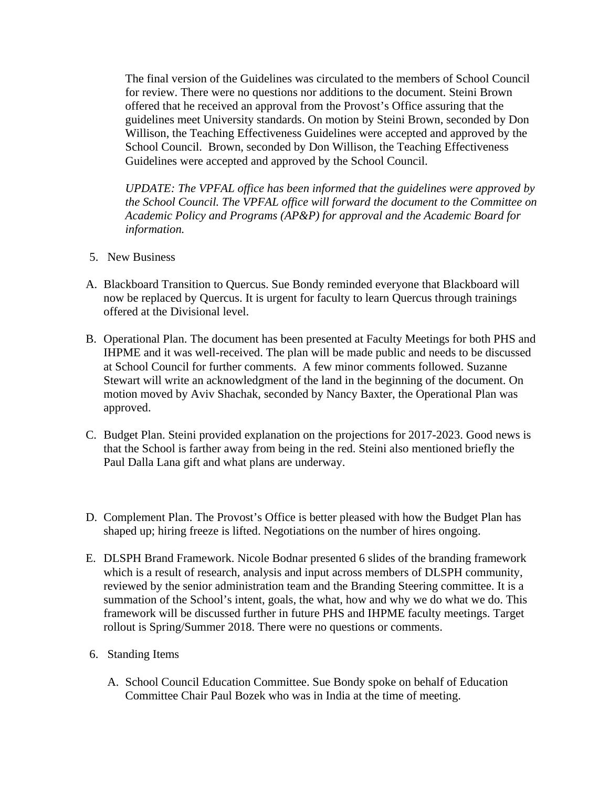The final version of the Guidelines was circulated to the members of School Council for review. There were no questions nor additions to the document. Steini Brown offered that he received an approval from the Provost's Office assuring that the guidelines meet University standards. On motion by Steini Brown, seconded by Don Willison, the Teaching Effectiveness Guidelines were accepted and approved by the School Council. Brown, seconded by Don Willison, the Teaching Effectiveness Guidelines were accepted and approved by the School Council.

*UPDATE: The VPFAL office has been informed that the guidelines were approved by the School Council. The VPFAL office will forward the document to the Committee on Academic Policy and Programs (AP&P) for approval and the Academic Board for information.* 

- 5. New Business
- A. Blackboard Transition to Quercus. Sue Bondy reminded everyone that Blackboard will now be replaced by Quercus. It is urgent for faculty to learn Quercus through trainings offered at the Divisional level.
- B. Operational Plan. The document has been presented at Faculty Meetings for both PHS and IHPME and it was well-received. The plan will be made public and needs to be discussed at School Council for further comments. A few minor comments followed. Suzanne Stewart will write an acknowledgment of the land in the beginning of the document. On motion moved by Aviv Shachak, seconded by Nancy Baxter, the Operational Plan was approved.
- C. Budget Plan. Steini provided explanation on the projections for 2017-2023. Good news is that the School is farther away from being in the red. Steini also mentioned briefly the Paul Dalla Lana gift and what plans are underway.
- D. Complement Plan. The Provost's Office is better pleased with how the Budget Plan has shaped up; hiring freeze is lifted. Negotiations on the number of hires ongoing.
- E. DLSPH Brand Framework. Nicole Bodnar presented 6 slides of the branding framework which is a result of research, analysis and input across members of DLSPH community, reviewed by the senior administration team and the Branding Steering committee. It is a summation of the School's intent, goals, the what, how and why we do what we do. This framework will be discussed further in future PHS and IHPME faculty meetings. Target rollout is Spring/Summer 2018. There were no questions or comments.
- 6. Standing Items
	- A. School Council Education Committee. Sue Bondy spoke on behalf of Education Committee Chair Paul Bozek who was in India at the time of meeting.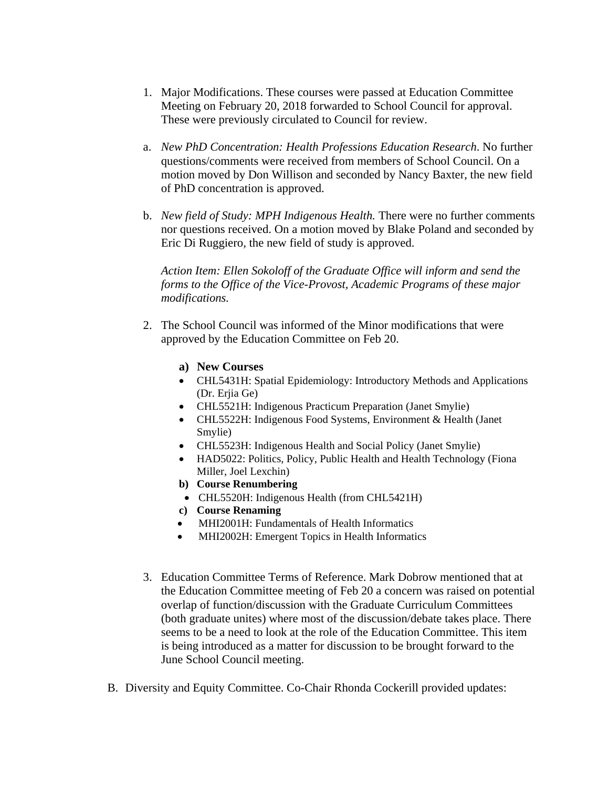- 1. Major Modifications. These courses were passed at Education Committee Meeting on February 20, 2018 forwarded to School Council for approval. These were previously circulated to Council for review.
- a. *New PhD Concentration: Health Professions Education Research*. No further questions/comments were received from members of School Council. On a motion moved by Don Willison and seconded by Nancy Baxter, the new field of PhD concentration is approved.
- b. *New field of Study: MPH Indigenous Health.* There were no further comments nor questions received. On a motion moved by Blake Poland and seconded by Eric Di Ruggiero, the new field of study is approved.

*Action Item: Ellen Sokoloff of the Graduate Office will inform and send the forms to the Office of the Vice-Provost, Academic Programs of these major modifications.* 

- 2. The School Council was informed of the Minor modifications that were approved by the Education Committee on Feb 20.
	- **a) New Courses**
	- CHL5431H: Spatial Epidemiology: Introductory Methods and Applications (Dr. Erjia Ge)
	- CHL5521H: Indigenous Practicum Preparation (Janet Smylie)
	- CHL5522H: Indigenous Food Systems, Environment & Health (Janet Smylie)
	- CHL5523H: Indigenous Health and Social Policy (Janet Smylie)
	- HAD5022: Politics, Policy, Public Health and Health Technology (Fiona Miller, Joel Lexchin)
	- **b) Course Renumbering**
	- CHL5520H: Indigenous Health (from CHL5421H)
	- **c) Course Renaming**
	- MHI2001H: Fundamentals of Health Informatics
	- MHI2002H: Emergent Topics in Health Informatics
- 3. Education Committee Terms of Reference. Mark Dobrow mentioned that at the Education Committee meeting of Feb 20 a concern was raised on potential overlap of function/discussion with the Graduate Curriculum Committees (both graduate unites) where most of the discussion/debate takes place. There seems to be a need to look at the role of the Education Committee. This item is being introduced as a matter for discussion to be brought forward to the June School Council meeting.
- B. Diversity and Equity Committee. Co-Chair Rhonda Cockerill provided updates: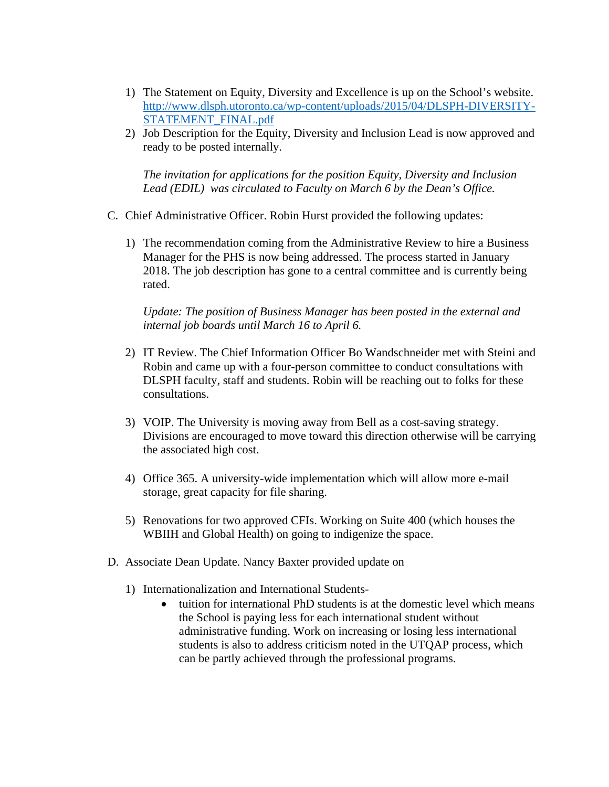- 1) The Statement on Equity, Diversity and Excellence is up on the School's website. http://www.dlsph.utoronto.ca/wp-content/uploads/2015/04/DLSPH-DIVERSITY-STATEMENT\_FINAL.pdf
- 2) Job Description for the Equity, Diversity and Inclusion Lead is now approved and ready to be posted internally.

*The invitation for applications for the position Equity, Diversity and Inclusion Lead (EDIL) was circulated to Faculty on March 6 by the Dean's Office.* 

- C. Chief Administrative Officer. Robin Hurst provided the following updates:
	- 1) The recommendation coming from the Administrative Review to hire a Business Manager for the PHS is now being addressed. The process started in January 2018. The job description has gone to a central committee and is currently being rated.

*Update: The position of Business Manager has been posted in the external and internal job boards until March 16 to April 6.* 

- 2) IT Review. The Chief Information Officer Bo Wandschneider met with Steini and Robin and came up with a four-person committee to conduct consultations with DLSPH faculty, staff and students. Robin will be reaching out to folks for these consultations.
- 3) VOIP. The University is moving away from Bell as a cost-saving strategy. Divisions are encouraged to move toward this direction otherwise will be carrying the associated high cost.
- 4) Office 365. A university-wide implementation which will allow more e-mail storage, great capacity for file sharing.
- 5) Renovations for two approved CFIs. Working on Suite 400 (which houses the WBIIH and Global Health) on going to indigenize the space.
- D. Associate Dean Update. Nancy Baxter provided update on
	- 1) Internationalization and International Students
		- tuition for international PhD students is at the domestic level which means the School is paying less for each international student without administrative funding. Work on increasing or losing less international students is also to address criticism noted in the UTQAP process, which can be partly achieved through the professional programs.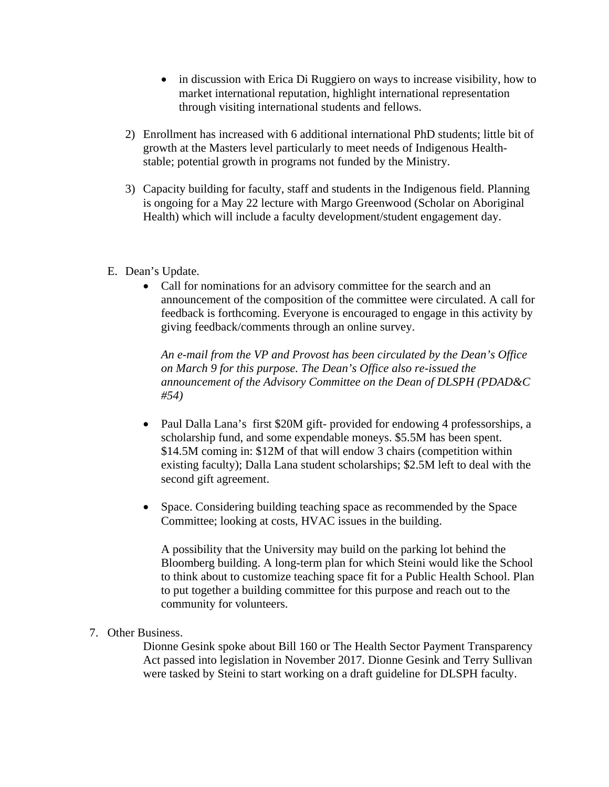- in discussion with Erica Di Ruggiero on ways to increase visibility, how to market international reputation, highlight international representation through visiting international students and fellows.
- 2) Enrollment has increased with 6 additional international PhD students; little bit of growth at the Masters level particularly to meet needs of Indigenous Healthstable; potential growth in programs not funded by the Ministry.
- 3) Capacity building for faculty, staff and students in the Indigenous field. Planning is ongoing for a May 22 lecture with Margo Greenwood (Scholar on Aboriginal Health) which will include a faculty development/student engagement day.
- E. Dean's Update.
	- Call for nominations for an advisory committee for the search and an announcement of the composition of the committee were circulated. A call for feedback is forthcoming. Everyone is encouraged to engage in this activity by giving feedback/comments through an online survey.

*An e-mail from the VP and Provost has been circulated by the Dean's Office on March 9 for this purpose. The Dean's Office also re-issued the announcement of the Advisory Committee on the Dean of DLSPH (PDAD&C #54)* 

- Paul Dalla Lana's first \$20M gift- provided for endowing 4 professorships, a scholarship fund, and some expendable moneys. \$5.5M has been spent. \$14.5M coming in: \$12M of that will endow 3 chairs (competition within existing faculty); Dalla Lana student scholarships; \$2.5M left to deal with the second gift agreement.
- Space. Considering building teaching space as recommended by the Space Committee; looking at costs, HVAC issues in the building.

A possibility that the University may build on the parking lot behind the Bloomberg building. A long-term plan for which Steini would like the School to think about to customize teaching space fit for a Public Health School. Plan to put together a building committee for this purpose and reach out to the community for volunteers.

7. Other Business.

Dionne Gesink spoke about Bill 160 or The Health Sector Payment Transparency Act passed into legislation in November 2017. Dionne Gesink and Terry Sullivan were tasked by Steini to start working on a draft guideline for DLSPH faculty.